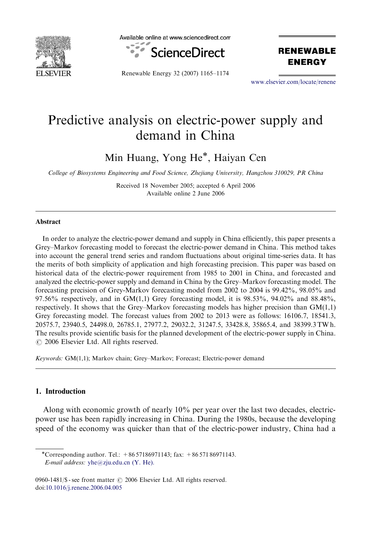

Available online at www.sciencedirect.com



Renewable Energy 32 (2007) 1165–1174

**RENEWABLE ENERGY** 

<www.elsevier.com/locate/renene>

## Predictive analysis on electric-power supply and demand in China

Min Huang, Yong He<sup>\*</sup>, Haiyan Cen

College of Biosystems Engineering and Food Science, Zhejiang University, Hangzhou 310029, PR China

Received 18 November 2005; accepted 6 April 2006 Available online 2 June 2006

## Abstract

In order to analyze the electric-power demand and supply in China efficiently, this paper presents a Grey–Markov forecasting model to forecast the electric-power demand in China. This method takes into account the general trend series and random fluctuations about original time-series data. It has the merits of both simplicity of application and high forecasting precision. This paper was based on historical data of the electric-power requirement from 1985 to 2001 in China, and forecasted and analyzed the electric-power supply and demand in China by the Grey–Markov forecasting model. The forecasting precision of Grey-Markov forecasting model from 2002 to 2004 is 99.42%, 98.05% and 97.56% respectively, and in GM $(1,1)$  Grey forecasting model, it is 98.53%, 94.02% and 88.48%, respectively. It shows that the Grey–Markov forecasting models has higher precision than  $GM(1,1)$ Grey forecasting model. The forecast values from 2002 to 2013 were as follows: 16106.7, 18541.3, 20575.7, 23940.5, 24498.0, 26785.1, 27977.2, 29032.2, 31247.5, 33428.8, 35865.4, and 38399.3 TW h. The results provide scientific basis for the planned development of the electric-power supply in China.  $\odot$  2006 Elsevier Ltd. All rights reserved.

Keywords: GM(1,1); Markov chain; Grey–Markov; Forecast; Electric-power demand

## 1. Introduction

Along with economic growth of nearly 10% per year over the last two decades, electricpower use has been rapidly increasing in China. During the 1980s, because the developing speed of the economy was quicker than that of the electric-power industry, China had a

-Corresponding author. Tel.: +86 57186971143; fax: +86 571 86971143. E-mail address:  $yhe@zju.edu.cn$  (Y. He).

0960-1481/\$ - see front matter  $\odot$  2006 Elsevier Ltd. All rights reserved. doi[:10.1016/j.renene.2006.04.005](dx.doi.org/10.1016/j.renene.2006.04.005)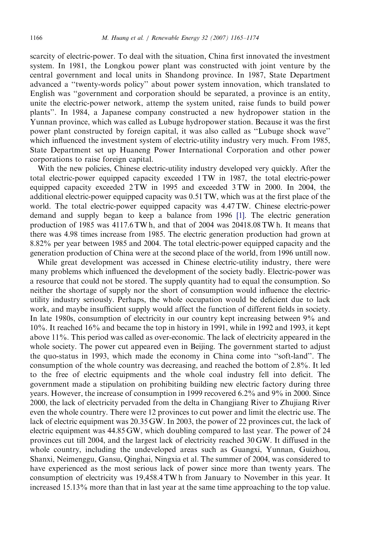scarcity of electric-power. To deal with the situation, China first innovated the investment system. In 1981, the Longkou power plant was constructed with joint venture by the central government and local units in Shandong province. In 1987, State Department advanced a ''twenty-words policy'' about power system innovation, which translated to English was ''government and corporation should be separated, a province is an entity, unite the electric-power network, attemp the system united, raise funds to build power plants''. In 1984, a Japanese company constructed a new hydropower station in the Yunnan province, which was called as Lubuge hydropower station. Because it was the first power plant constructed by foreign capital, it was also called as ''Lubuge shock wave'' which influenced the investment system of electric-utility industry very much. From 1985, State Department set up Huaneng Power International Corporation and other power corporations to raise foreign capital.

With the new policies, Chinese electric-utility industry developed very quickly. After the total electric-power equipped capacity exceeded 1 TW in 1987, the total electric-power equipped capacity exceeded 2 TW in 1995 and exceeded 3 TW in 2000. In 2004, the additional electric-power equipped capacity was 0.51 TW, which was at the first place of the world. The total electric-power equipped capacity was 4.47 TW. Chinese electric-power demand and supply began to keep a balance from 1996 [\[1\].](#page--1-0) The electric generation production of 1985 was 4117.6 TW h, and that of 2004 was 20418.08 TW h. It means that there was 4.98 times increase from 1985. The electric generation production had grown at 8.82% per year between 1985 and 2004. The total electric-power equipped capacity and the generation production of China were at the second place of the world, from 1996 untill now.

While great development was accessed in Chinese electric-utility industry, there were many problems which influenced the development of the society badly. Electric-power was a resource that could not be stored. The supply quantity had to equal the consumption. So neither the shortage of supply nor the short of consumption would influence the electricutility industry seriously. Perhaps, the whole occupation would be deficient due to lack work, and maybe insufficient supply would affect the function of different fields in society. In late 1980s, consumption of electricity in our country kept increasing between 9% and 10%. It reached 16% and became the top in history in 1991, while in 1992 and 1993, it kept above 11%. This period was called as over-economic. The lack of electricity appeared in the whole society. The power cut appeared even in Beijing. The government started to adjust the quo-status in 1993, which made the economy in China come into ''soft-land''. The consumption of the whole country was decreasing, and reached the bottom of 2.8%. It led to the free of electric equipments and the whole coal industry fell into deficit. The government made a stipulation on prohibiting building new electric factory during three years. However, the increase of consumption in 1999 recovered 6.2% and 9% in 2000. Since 2000, the lack of electricity pervaded from the delta in Changjiang River to Zhujiang River even the whole country. There were 12 provinces to cut power and limit the electric use. The lack of electric equipment was 20.35 GW. In 2003, the power of 22 provinces cut, the lack of electric equipment was 44.85 GW, which doubling compared to last year. The power of 24 provinces cut till 2004, and the largest lack of electricity reached 30 GW. It diffused in the whole country, including the undeveloped areas such as Guangxi, Yunnan, Guizhou, Shanxi, Neimenggu, Gansu, Qinghai, Ningxia et al. The summer of 2004, was considered to have experienced as the most serious lack of power since more than twenty years. The consumption of electricity was 19,458.4 TW h from January to November in this year. It increased 15.13% more than that in last year at the same time approaching to the top value.